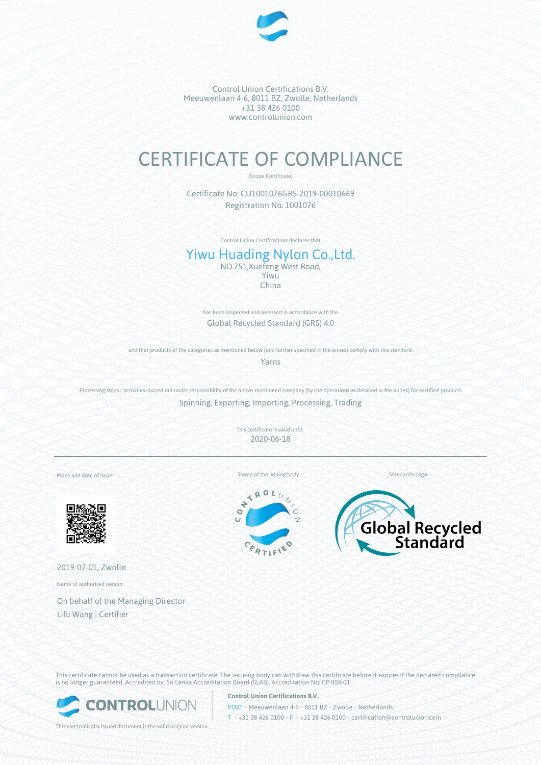

Control Union Certifications B.V. Meeuwenlaan 4-6, 8011 BZ, Zwolle, Netherlands +31 38 426 0100 www.controlunion.com

## CERTIFICATE OF COMPLIANCE

(Scope Certificate)

Certificate No: CU1001076GRS-2019-00010669 Registration No: 1001076

Control Union Certifications declares that

## Yiwu Huading Nylon Co.,Ltd.

NO.751,Xuefeng West Road, Yiwu China

has been inspected and assessed in accordance with the Global Recycled Standard (GRS) 4.0

and that products of the categories as mentioned below (and further specified in the annex) comply with this standard:

Yarns

Processing steps / activities carried out under responsibility of the above-mentioned company (by the operations as detailed in the annex) for certified products Spinning, Exporting, Importing, Processing, Trading

This certificate is valid until:

2020-06-18

Place and date of issue:



2019-07-01, Zwolle

Name of authorised person:

On behalf of the Managing Director Lifu Wang | Certifier

Stamp of the issuing body Standard's Logo





This certificate cannot be used as a transaction certificate. The issueing body can withdraw this certificate before it expires if the declared compliance is no longer guaranteed. Accredited by: Sri Lanka Accreditation Board (SLAB), Accreditation No: CP 004-01



This electronically issued document is the valid original version.

**Control Union Certifications B.V.**

POST • Meeuwenlaan 4-6 • 8011 BZ • Zwolle • Netherlands T • +31 38 426 0100 • F • +31 38 426 0100 • certification@controlunion.com •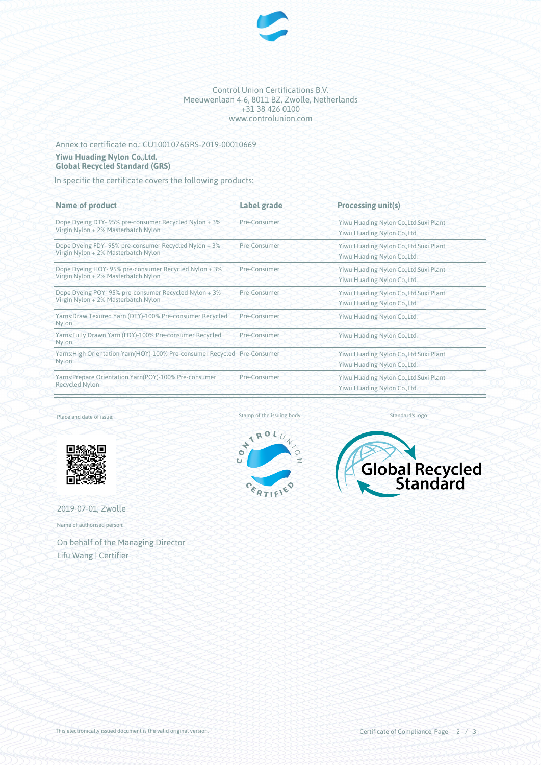

Control Union Certifications B.V. Meeuwenlaan 4-6, 8011 BZ, Zwolle, Netherlands +31 38 426 0100 www.controlunion.com

## Annex to certificate no.: CU1001076GRS-2019-00010669 **Yiwu Huading Nylon Co.,Ltd. Global Recycled Standard (GRS)**

In specific the certificate covers the following products:

| Yiwu Huading Nylon Co., Ltd. Suxi Plant<br>Yiwu Huading Nylon Co., Ltd. |
|-------------------------------------------------------------------------|
|                                                                         |
| Yiwu Huading Nylon Co., Ltd. Suxi Plant<br>Yiwu Huading Nylon Co., Ltd. |
| Yiwu Huading Nylon Co., Ltd. Suxi Plant<br>Yiwu Huading Nylon Co., Ltd. |
| Yiwu Huading Nylon Co., Ltd. Suxi Plant<br>Yiwu Huading Nylon Co., Ltd. |
| Yiwu Huading Nylon Co., Ltd.                                            |
| Yiwu Huading Nylon Co., Ltd.                                            |
| Yiwu Huading Nylon Co., Ltd. Suxi Plant<br>Yiwu Huading Nylon Co., Ltd. |
| Yiwu Huading Nylon Co., Ltd. Suxi Plant<br>Yiwu Huading Nylon Co., Ltd. |
|                                                                         |

Place and date of issue:



2019-07-01, Zwolle

Name of authorised person:

On behalf of the Managing Director Lifu Wang | Certifier